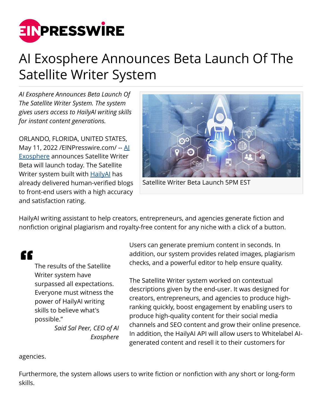

## AI Exosphere Announces Beta Launch Of The Satellite Writer System

*AI Exosphere Announces Beta Launch Of The Satellite Writer System. The system gives users access to HailyAI writing skills for instant content generations.*

ORLANDO, FLORIDA, UNITED STATES, May 11, 2022 [/EINPresswire.com](http://www.einpresswire.com)/ -- [AI](https://aiexosphere.com) [Exosphere](https://aiexosphere.com) announces Satellite Writer Beta will launch today. The Satellite Writer system built with **[HailyAI](https://aiexosphere.com/project-hail)** has already delivered human-verified blogs to front-end users with a high accuracy and satisfaction rating.



Satellite Writer Beta Launch 5PM EST

HailyAI writing assistant to help creators, entrepreneurs, and agencies generate fiction and nonfiction original plagiarism and royalty-free content for any niche with a click of a button.

## "

The results of the Satellite Writer system have surpassed all expectations. Everyone must witness the power of HailyAI writing skills to believe what's possible."

*Said Sal Peer, CEO of AI Exosphere*

Users can generate premium content in seconds. In addition, our system provides related images, plagiarism checks, and a powerful editor to help ensure quality.

The Satellite Writer system worked on contextual descriptions given by the end-user. It was designed for creators, entrepreneurs, and agencies to produce highranking quickly, boost engagement by enabling users to produce high-quality content for their social media channels and SEO content and grow their online presence. In addition, the HailyAI API will allow users to Whitelabel AIgenerated content and resell it to their customers for

agencies.

Furthermore, the system allows users to write fiction or nonfiction with any short or long-form skills.